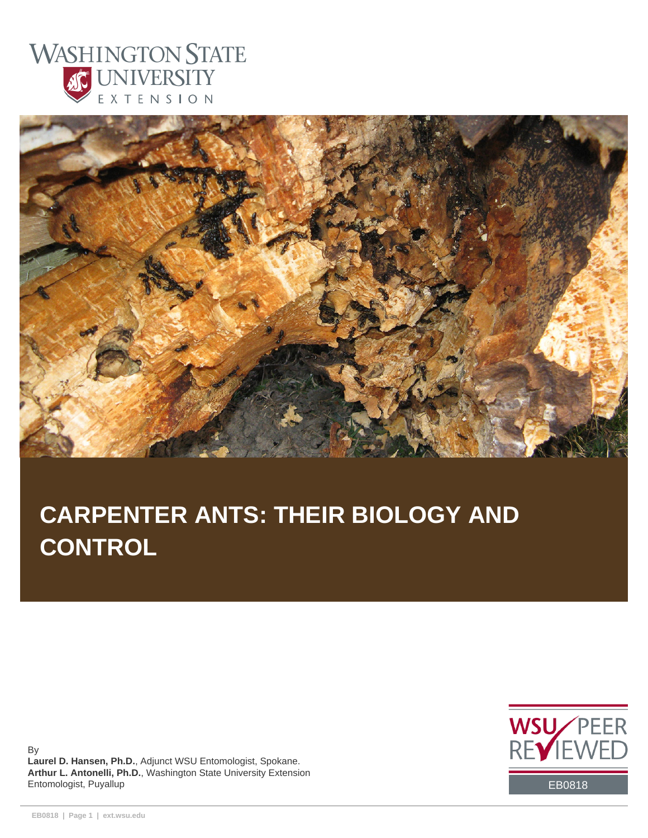



# **CARPENTER ANTS: THEIR BIOLOGY AND CONTROL**

By **Laurel D. Hansen, Ph.D.**, Adjunct WSU Entomologist, Spokane. **Arthur L. Antonelli, Ph.D.**, Washington State University Extension Entomologist, Puyallup EB0818

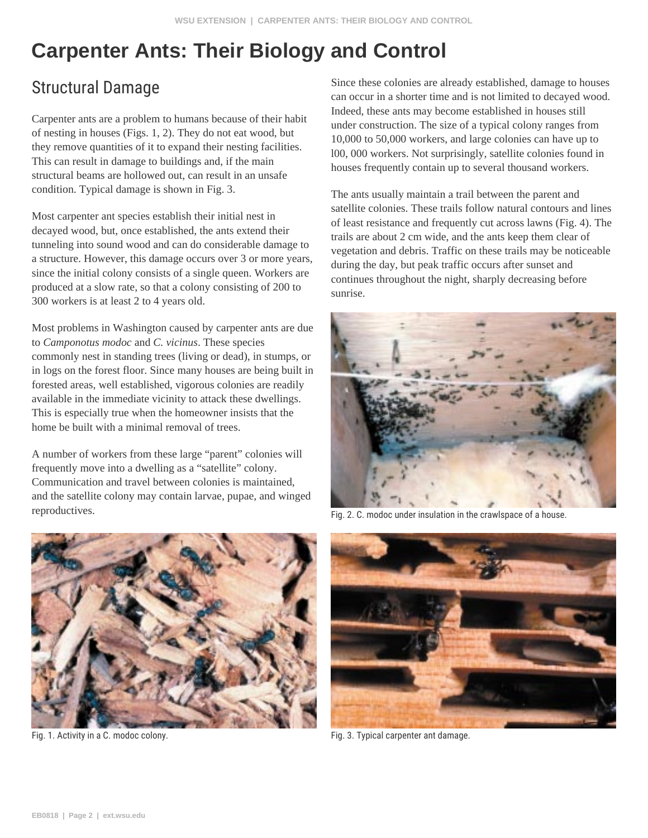## **Carpenter Ants: Their Biology and Control**

#### Structural Damage

Carpenter ants are a problem to humans because of their habit of nesting in houses (Figs. 1, 2). They do not eat wood, but they remove quantities of it to expand their nesting facilities. This can result in damage to buildings and, if the main structural beams are hollowed out, can result in an unsafe condition. Typical damage is shown in Fig. 3.

Most carpenter ant species establish their initial nest in decayed wood, but, once established, the ants extend their tunneling into sound wood and can do considerable damage to a structure. However, this damage occurs over 3 or more years, since the initial colony consists of a single queen. Workers are produced at a slow rate, so that a colony consisting of 200 to 300 workers is at least 2 to 4 years old.

Most problems in Washington caused by carpenter ants are due to *Camponotus modoc* and *C. vicinus*. These species commonly nest in standing trees (living or dead), in stumps, or in logs on the forest floor. Since many houses are being built in forested areas, well established, vigorous colonies are readily available in the immediate vicinity to attack these dwellings. This is especially true when the homeowner insists that the home be built with a minimal removal of trees.

A number of workers from these large "parent" colonies will frequently move into a dwelling as a "satellite" colony. Communication and travel between colonies is maintained, and the satellite colony may contain larvae, pupae, and winged reproductives.



Fig. 1. Activity in a C. modoc colony. The same of the state of the state of the Fig. 3. Typical carpenter ant damage.

Since these colonies are already established, damage to houses can occur in a shorter time and is not limited to decayed wood. Indeed, these ants may become established in houses still under construction. The size of a typical colony ranges from 10,000 to 50,000 workers, and large colonies can have up to l00, 000 workers. Not surprisingly, satellite colonies found in houses frequently contain up to several thousand workers.

The ants usually maintain a trail between the parent and satellite colonies. These trails follow natural contours and lines of least resistance and frequently cut across lawns (Fig. 4). The trails are about 2 cm wide, and the ants keep them clear of vegetation and debris. Traffic on these trails may be noticeable during the day, but peak traffic occurs after sunset and continues throughout the night, sharply decreasing before sunrise.



Fig. 2. C. modoc under insulation in the crawlspace of a house.

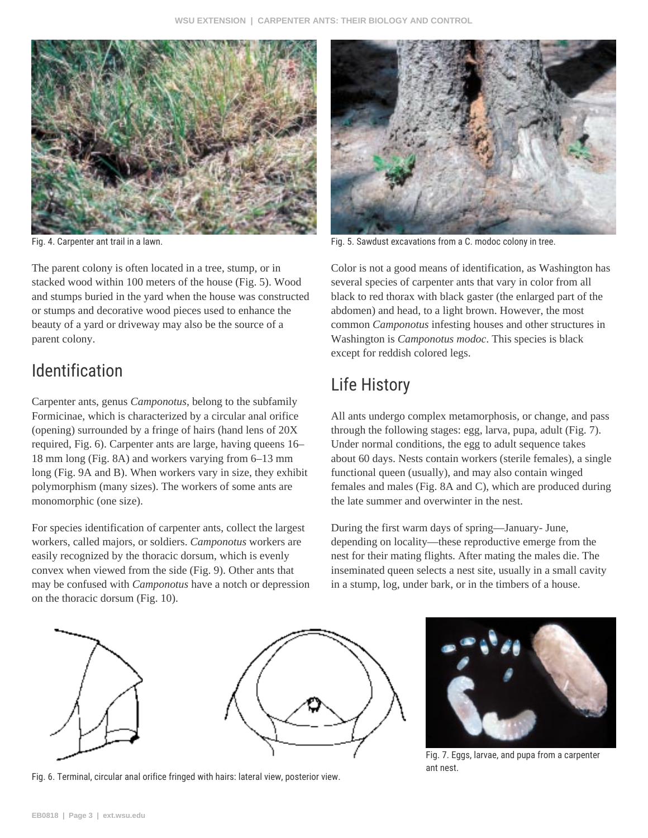

The parent colony is often located in a tree, stump, or in stacked wood within 100 meters of the house (Fig. 5). Wood and stumps buried in the yard when the house was constructed or stumps and decorative wood pieces used to enhance the beauty of a yard or driveway may also be the source of a parent colony.

#### Identification

Carpenter ants, genus *Camponotus,* belong to the subfamily Formicinae, which is characterized by a circular anal orifice (opening) surrounded by a fringe of hairs (hand lens of 20X required, Fig. 6). Carpenter ants are large, having queens 16– 18 mm long (Fig. 8A) and workers varying from 6–13 mm long (Fig. 9A and B). When workers vary in size, they exhibit polymorphism (many sizes). The workers of some ants are monomorphic (one size).

For species identification of carpenter ants, collect the largest workers, called majors, or soldiers. *Camponotus* workers are easily recognized by the thoracic dorsum, which is evenly convex when viewed from the side (Fig. 9). Other ants that may be confused with *Camponotus* have a notch or depression on the thoracic dorsum (Fig. 10).



Fig. 4. Carpenter ant trail in a lawn. Fig. 5. Sawdust excavations from a C. modoc colony in tree.

Color is not a good means of identification, as Washington has several species of carpenter ants that vary in color from all black to red thorax with black gaster (the enlarged part of the abdomen) and head, to a light brown. However, the most common *Camponotus* infesting houses and other structures in Washington is *Camponotus modoc*. This species is black except for reddish colored legs.

## Life History

All ants undergo complex metamorphosis, or change, and pass through the following stages: egg, larva, pupa, adult (Fig. 7). Under normal conditions, the egg to adult sequence takes about 60 days. Nests contain workers (sterile females), a single functional queen (usually), and may also contain winged females and males (Fig. 8A and C), which are produced during the late summer and overwinter in the nest.

During the first warm days of spring—January- June, depending on locality—these reproductive emerge from the nest for their mating flights. After mating the males die. The inseminated queen selects a nest site, usually in a small cavity in a stump, log, under bark, or in the timbers of a house.



Fig. 6. Terminal, circular anal orifice fringed with hairs: lateral view, posterior view.



Fig. 7. Eggs, larvae, and pupa from a carpenter ant nest.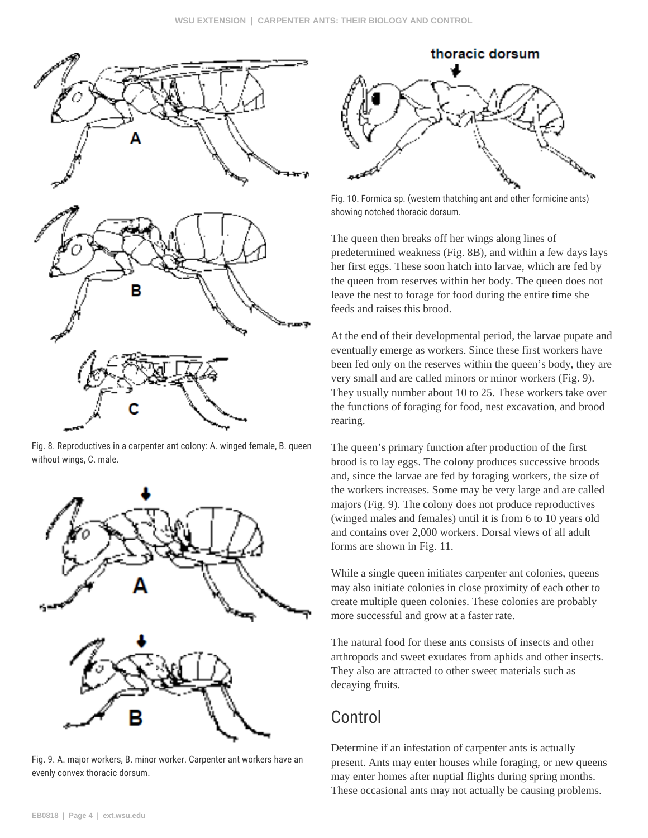

Fig. 8. Reproductives in a carpenter ant colony: A. winged female, B. queen without wings, C. male.



Fig. 9. A. major workers, B. minor worker. Carpenter ant workers have an evenly convex thoracic dorsum.



Fig. 10. Formica sp. (western thatching ant and other formicine ants) showing notched thoracic dorsum.

The queen then breaks off her wings along lines of predetermined weakness (Fig. 8B), and within a few days lays her first eggs. These soon hatch into larvae, which are fed by the queen from reserves within her body. The queen does not leave the nest to forage for food during the entire time she feeds and raises this brood.

At the end of their developmental period, the larvae pupate and eventually emerge as workers. Since these first workers have been fed only on the reserves within the queen's body, they are very small and are called minors or minor workers (Fig. 9). They usually number about 10 to 25. These workers take over the functions of foraging for food, nest excavation, and brood rearing.

The queen's primary function after production of the first brood is to lay eggs. The colony produces successive broods and, since the larvae are fed by foraging workers, the size of the workers increases. Some may be very large and are called majors (Fig. 9). The colony does not produce reproductives (winged males and females) until it is from 6 to 10 years old and contains over 2,000 workers. Dorsal views of all adult forms are shown in Fig. 11.

While a single queen initiates carpenter ant colonies, queens may also initiate colonies in close proximity of each other to create multiple queen colonies. These colonies are probably more successful and grow at a faster rate.

The natural food for these ants consists of insects and other arthropods and sweet exudates from aphids and other insects. They also are attracted to other sweet materials such as decaying fruits.

#### Control

Determine if an infestation of carpenter ants is actually present. Ants may enter houses while foraging, or new queens may enter homes after nuptial flights during spring months. These occasional ants may not actually be causing problems.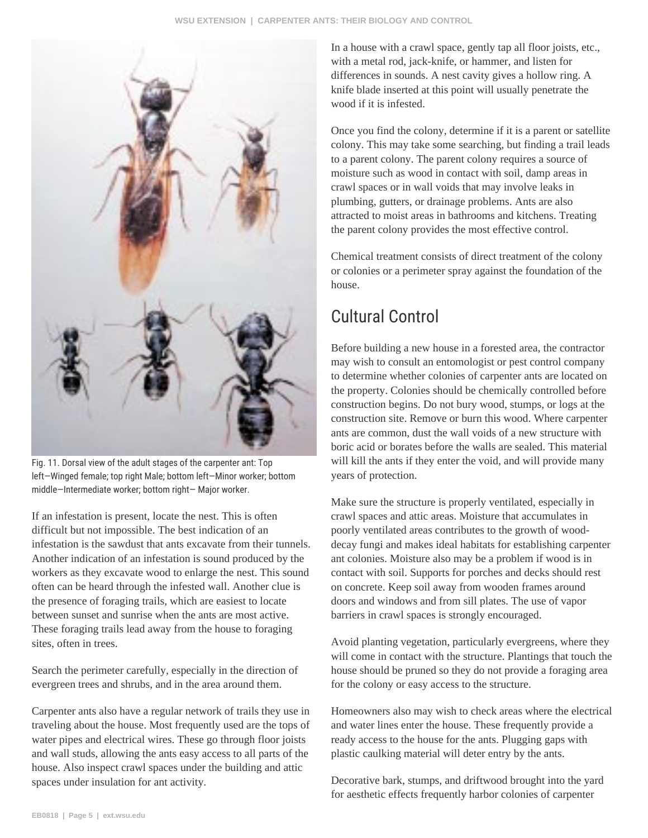

Fig. 11. Dorsal view of the adult stages of the carpenter ant: Top left—Winged female; top right Male; bottom left—Minor worker; bottom middle—Intermediate worker; bottom right— Major worker.

If an infestation is present, locate the nest. This is often difficult but not impossible. The best indication of an infestation is the sawdust that ants excavate from their tunnels. Another indication of an infestation is sound produced by the workers as they excavate wood to enlarge the nest. This sound often can be heard through the infested wall. Another clue is the presence of foraging trails, which are easiest to locate between sunset and sunrise when the ants are most active. These foraging trails lead away from the house to foraging sites, often in trees.

Search the perimeter carefully, especially in the direction of evergreen trees and shrubs, and in the area around them.

Carpenter ants also have a regular network of trails they use in traveling about the house. Most frequently used are the tops of water pipes and electrical wires. These go through floor joists and wall studs, allowing the ants easy access to all parts of the house. Also inspect crawl spaces under the building and attic spaces under insulation for ant activity.

In a house with a crawl space, gently tap all floor joists, etc., with a metal rod, jack-knife, or hammer, and listen for differences in sounds. A nest cavity gives a hollow ring. A knife blade inserted at this point will usually penetrate the wood if it is infested.

Once you find the colony, determine if it is a parent or satellite colony. This may take some searching, but finding a trail leads to a parent colony. The parent colony requires a source of moisture such as wood in contact with soil, damp areas in crawl spaces or in wall voids that may involve leaks in plumbing, gutters, or drainage problems. Ants are also attracted to moist areas in bathrooms and kitchens. Treating the parent colony provides the most effective control.

Chemical treatment consists of direct treatment of the colony or colonies or a perimeter spray against the foundation of the house.

## Cultural Control

Before building a new house in a forested area, the contractor may wish to consult an entomologist or pest control company to determine whether colonies of carpenter ants are located on the property. Colonies should be chemically controlled before construction begins. Do not bury wood, stumps, or logs at the construction site. Remove or burn this wood. Where carpenter ants are common, dust the wall voids of a new structure with boric acid or borates before the walls are sealed. This material will kill the ants if they enter the void, and will provide many years of protection.

Make sure the structure is properly ventilated, especially in crawl spaces and attic areas. Moisture that accumulates in poorly ventilated areas contributes to the growth of wooddecay fungi and makes ideal habitats for establishing carpenter ant colonies. Moisture also may be a problem if wood is in contact with soil. Supports for porches and decks should rest on concrete. Keep soil away from wooden frames around doors and windows and from sill plates. The use of vapor barriers in crawl spaces is strongly encouraged.

Avoid planting vegetation, particularly evergreens, where they will come in contact with the structure. Plantings that touch the house should be pruned so they do not provide a foraging area for the colony or easy access to the structure.

Homeowners also may wish to check areas where the electrical and water lines enter the house. These frequently provide a ready access to the house for the ants. Plugging gaps with plastic caulking material will deter entry by the ants.

Decorative bark, stumps, and driftwood brought into the yard for aesthetic effects frequently harbor colonies of carpenter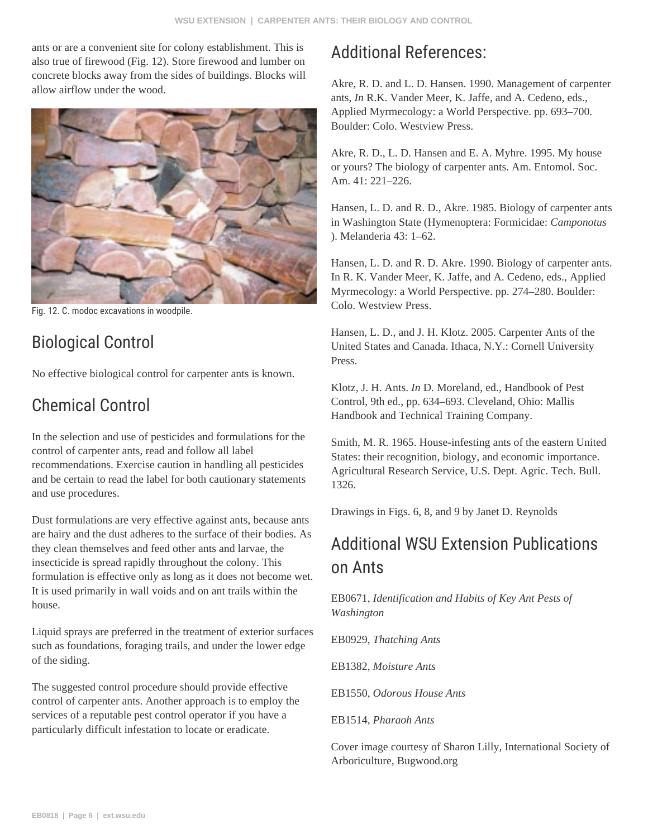ants or are a convenient site for colony establishment. This is also true of firewood (Fig. 12). Store firewood and lumber on concrete blocks away from the sides of buildings. Blocks will allow airflow under the wood.



Fig. 12. C. modoc excavations in woodpile.

### Biological Control

No effective biological control for carpenter ants is known.

#### Chemical Control

In the selection and use of pesticides and formulations for the control of carpenter ants, read and follow all label recommendations. Exercise caution in handling all pesticides and be certain to read the label for both cautionary statements and use procedures.

Dust formulations are very effective against ants, because ants are hairy and the dust adheres to the surface of their bodies. As they clean themselves and feed other ants and larvae, the insecticide is spread rapidly throughout the colony. This formulation is effective only as long as it does not become wet. It is used primarily in wall voids and on ant trails within the house.

Liquid sprays are preferred in the treatment of exterior surfaces such as foundations, foraging trails, and under the lower edge of the siding.

The suggested control procedure should provide effective control of carpenter ants. Another approach is to employ the services of a reputable pest control operator if you have a particularly difficult infestation to locate or eradicate.

### Additional References:

Akre, R. D. and L. D. Hansen. 1990. Management of carpenter ants, *In* R.K. Vander Meer, K. Jaffe, and A. Cedeno, eds., Applied Myrmecology: a World Perspective. pp. 693–700. Boulder: Colo. Westview Press.

Akre, R. D., L. D. Hansen and E. A. Myhre. 1995. My house or yours? The biology of carpenter ants. Am. Entomol. Soc. Am. 41: 221–226.

Hansen, L. D. and R. D., Akre. 1985. Biology of carpenter ants in Washington State (Hymenoptera: Formicidae: *Camponotus* ). Melanderia 43: 1–62.

Hansen, L. D. and R. D. Akre. 1990. Biology of carpenter ants. In R. K. Vander Meer, K. Jaffe, and A. Cedeno, eds., Applied Myrmecology: a World Perspective. pp. 274–280. Boulder: Colo. Westview Press.

Hansen, L. D., and J. H. Klotz. 2005. Carpenter Ants of the United States and Canada. Ithaca, N.Y.: Cornell University Press.

Klotz, J. H. Ants. *In* D. Moreland, ed., Handbook of Pest Control, 9th ed., pp. 634–693. Cleveland, Ohio: Mallis Handbook and Technical Training Company.

Smith, M. R. 1965. House-infesting ants of the eastern United States: their recognition, biology, and economic importance. Agricultural Research Service, U.S. Dept. Agric. Tech. Bull. 1326.

Drawings in Figs. 6, 8, and 9 by Janet D. Reynolds

## Additional WSU Extension Publications on Ants

EB0671, *Identification and Habits of Key Ant Pests of Washington*

EB0929, *Thatching Ants*

EB1382, *Moisture Ants*

EB1550, *Odorous House Ants*

EB1514, *Pharaoh Ants*

Cover image courtesy of Sharon Lilly, International Society of Arboriculture, Bugwood.org